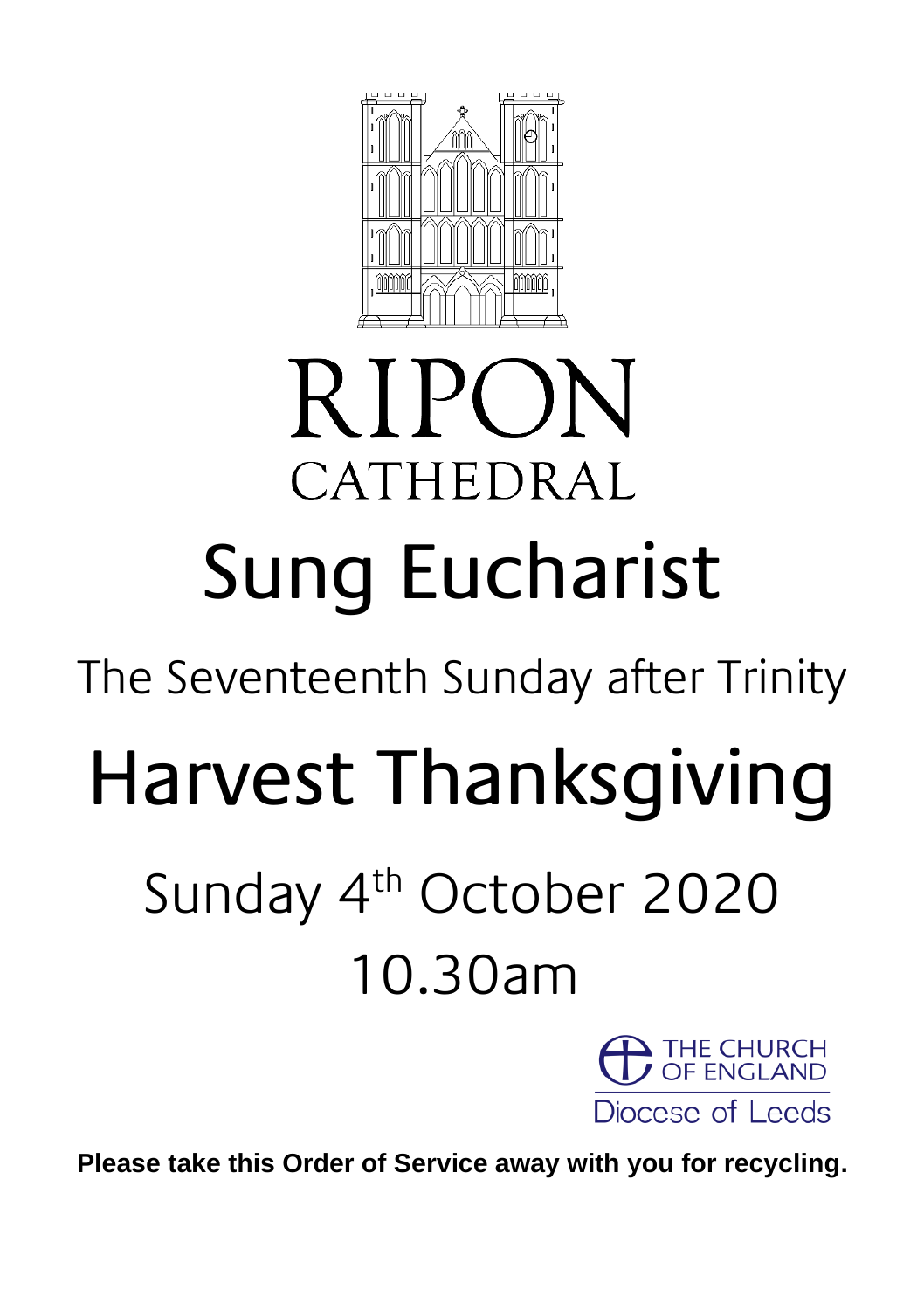

# **RIPON** CATHEDRAL Sung Eucharist

The Seventeenth Sunday after Trinity

# Harvest Thanksgiving

## Sunday 4<sup>th</sup> October 2020 10.30am



**Please take this Order of Service away with you for recycling.**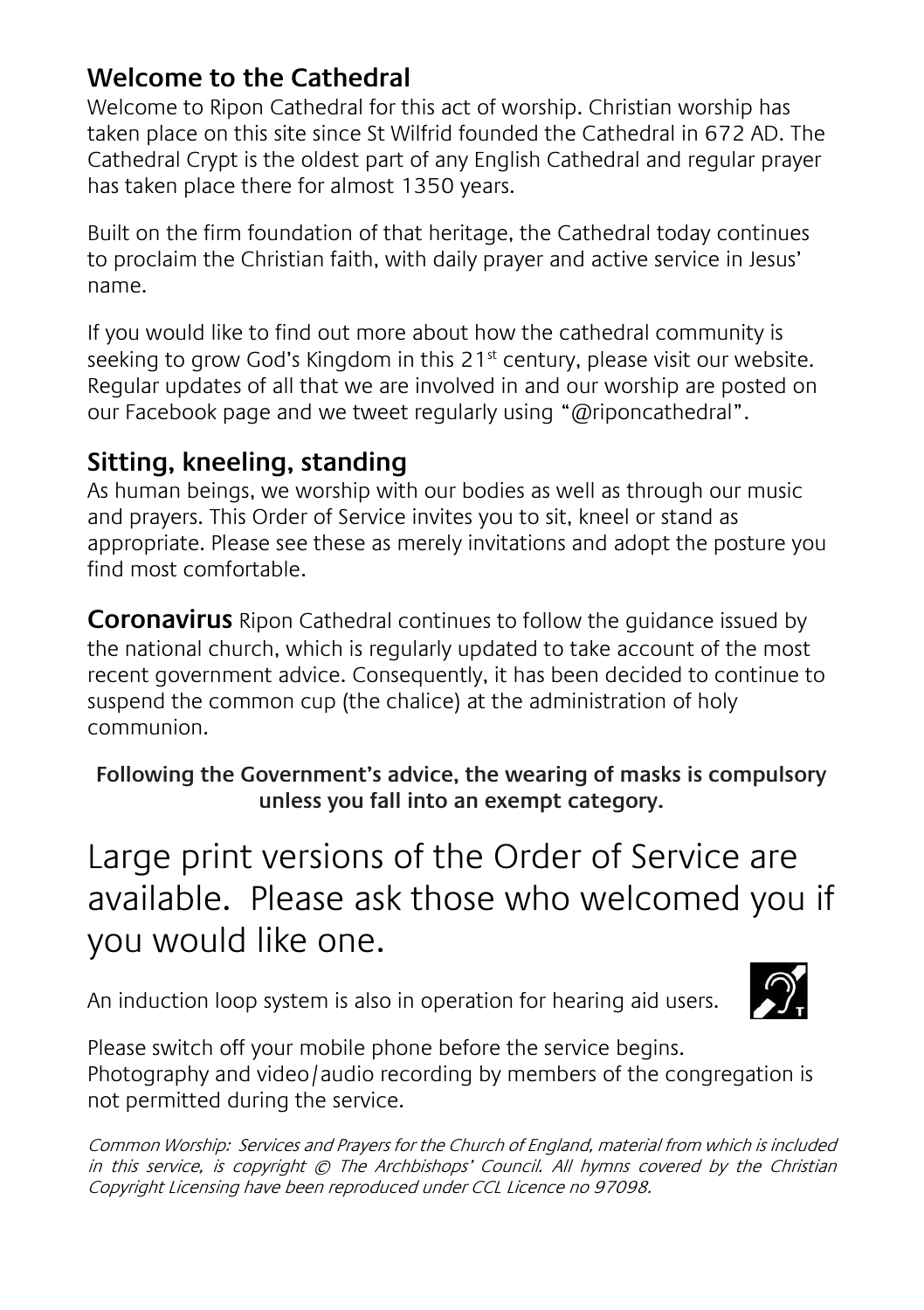### **Welcome to the Cathedral**

Welcome to Ripon Cathedral for this act of worship. Christian worship has taken place on this site since St Wilfrid founded the Cathedral in 672 AD. The Cathedral Crypt is the oldest part of any English Cathedral and regular prayer has taken place there for almost 1350 years.

Built on the firm foundation of that heritage, the Cathedral today continues to proclaim the Christian faith, with daily prayer and active service in Jesus' name.

If you would like to find out more about how the cathedral community is seeking to grow God's Kingdom in this 21<sup>st</sup> century, please visit our website. Regular updates of all that we are involved in and our worship are posted on our Facebook page and we tweet regularly using "@riponcathedral".

#### **Sitting, kneeling, standing**

As human beings, we worship with our bodies as well as through our music and prayers. This Order of Service invites you to sit, kneel or stand as appropriate. Please see these as merely invitations and adopt the posture you find most comfortable.

**Coronavirus** Ripon Cathedral continues to follow the guidance issued by the national church, which is regularly updated to take account of the most recent government advice. Consequently, it has been decided to continue to suspend the common cup (the chalice) at the administration of holy communion.

**Following the Government's advice, the wearing of masks is compulsory unless you fall into an exempt category.**

Large print versions of the Order of Service are available. Please ask those who welcomed you if you would like one.

An induction loop system is also in operation for hearing aid users.



Please switch off your mobile phone before the service begins. Photography and video/audio recording by members of the congregation is not permitted during the service.

Common Worship: Services and Prayers for the Church of England, material from which is included in this service, is copyright © The Archbishops' Council. All hymns covered by the Christian Copyright Licensing have been reproduced under CCL Licence no 97098.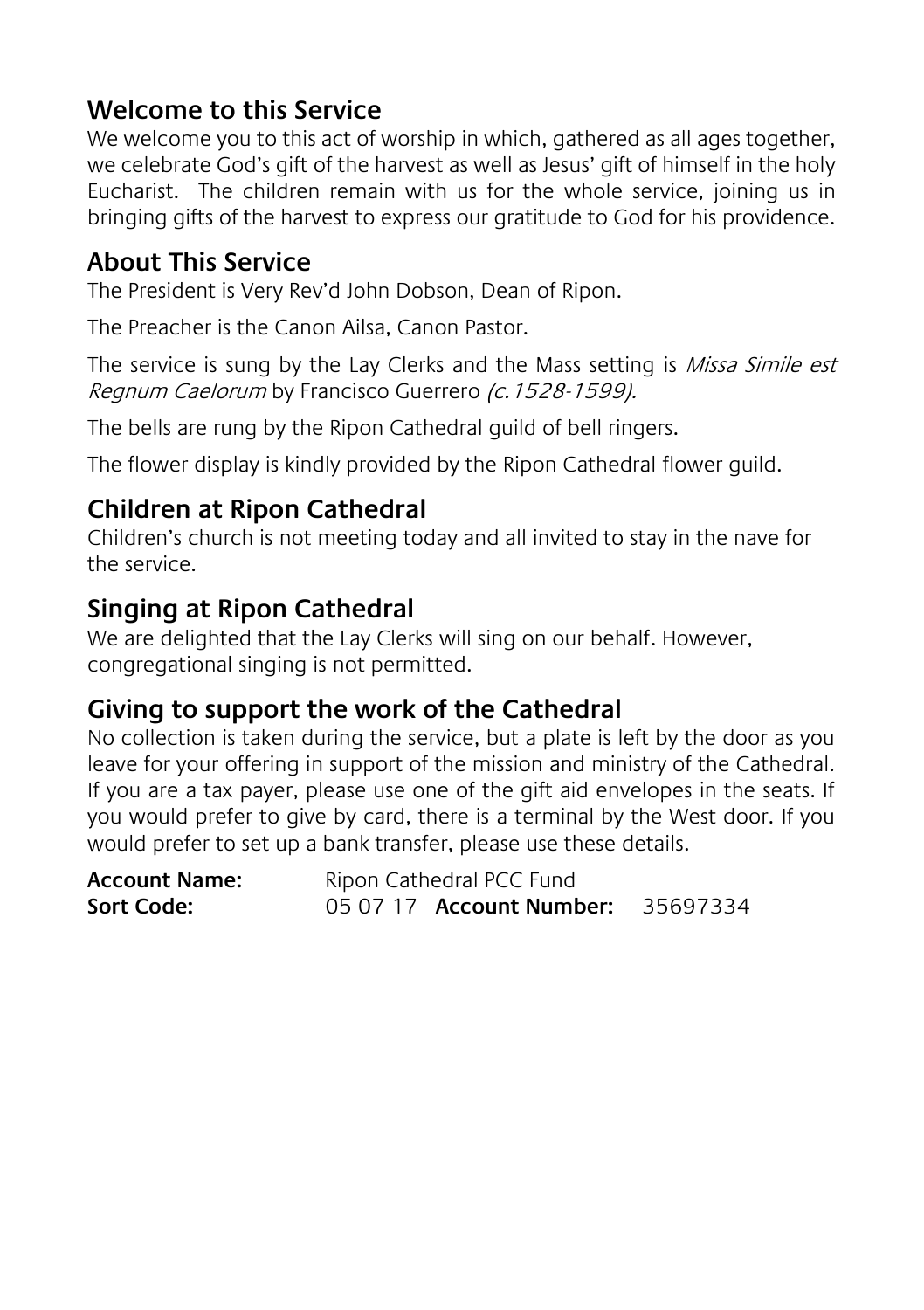## **Welcome to this Service**

We welcome you to this act of worship in which, gathered as all ages together, we celebrate God's gift of the harvest as well as Jesus' gift of himself in the holy Eucharist. The children remain with us for the whole service, joining us in bringing gifts of the harvest to express our gratitude to God for his providence.

### **About This Service**

The President is Very Rev'd John Dobson, Dean of Ripon.

The Preacher is the Canon Ailsa, Canon Pastor.

The service is sung by the Lay Clerks and the Mass setting is *Missa Simile est* Regnum Caelorum by Francisco Guerrero (c. 1528-1599).

The bells are rung by the Ripon Cathedral guild of bell ringers.

The flower display is kindly provided by the Ripon Cathedral flower guild.

## **Children at Ripon Cathedral**

Children's church is not meeting today and all invited to stay in the nave for the service.

## **Singing at Ripon Cathedral**

We are delighted that the Lay Clerks will sing on our behalf. However, congregational singing is not permitted.

## **Giving to support the work of the Cathedral**

No collection is taken during the service, but a plate is left by the door as you leave for your offering in support of the mission and ministry of the Cathedral. If you are a tax payer, please use one of the gift aid envelopes in the seats. If you would prefer to give by card, there is a terminal by the West door. If you would prefer to set up a bank transfer, please use these details.

| <b>Account Name:</b> | Ripon Cathedral PCC Fund        |          |  |
|----------------------|---------------------------------|----------|--|
| Sort Code:           | 05 07 17 <b>Account Number:</b> | 35697334 |  |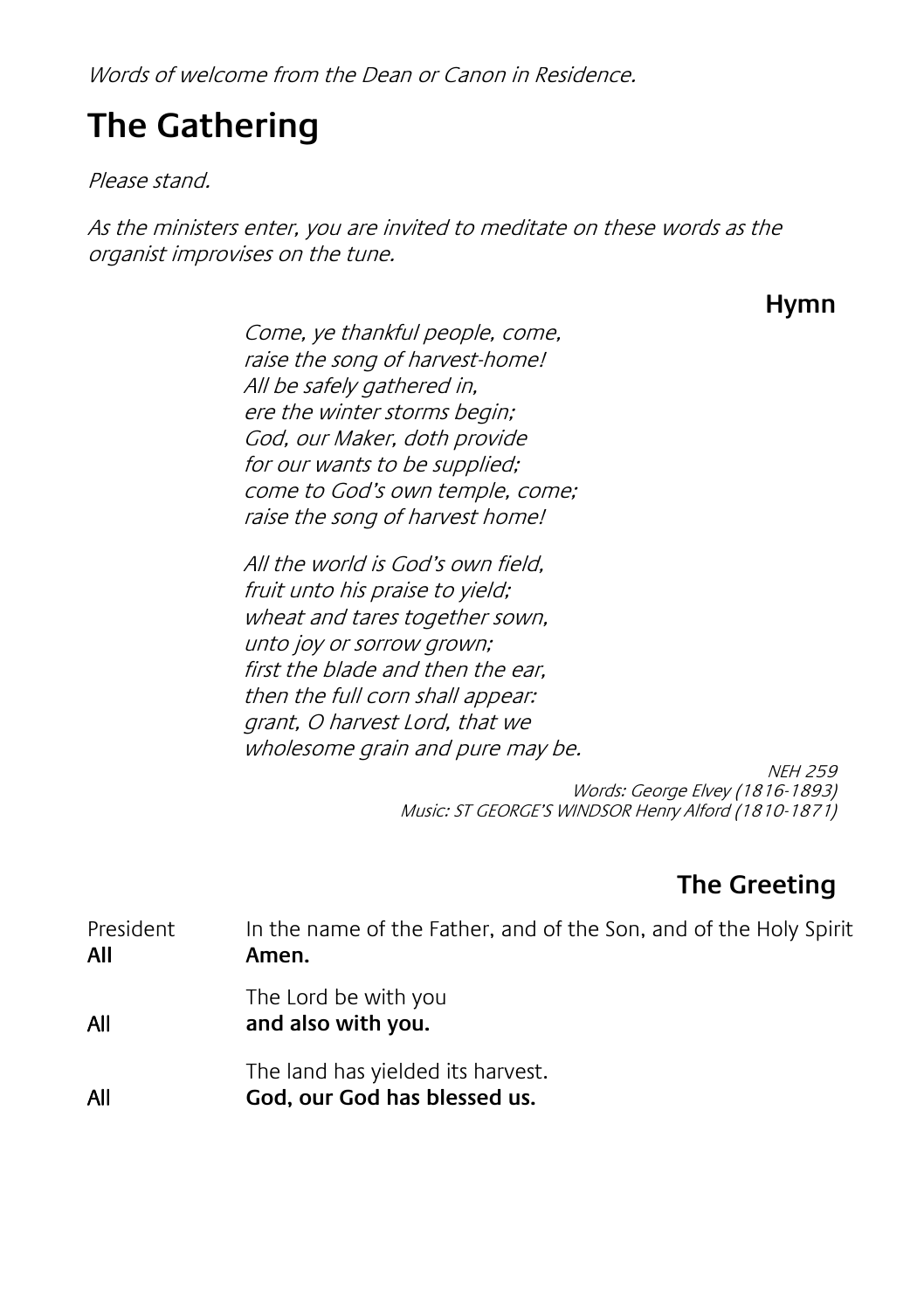Words of welcome from the Dean or Canon in Residence.

## **The Gathering**

Please stand.

As the ministers enter, you are invited to meditate on these words as the organist improvises on the tune.

**Hymn**

Come, ye thankful people, come, raise the song of harvest-home! All be safely gathered in, ere the winter storms begin; God, our Maker, doth provide for our wants to be supplied; come to God's own temple, come; raise the song of harvest home!

All the world is God's own field, fruit unto his praise to yield; wheat and tares together sown, unto joy or sorrow grown; first the blade and then the ear, then the full corn shall appear: grant, O harvest Lord, that we wholesome grain and pure may be.

> NEH 259 Words: George Elvey (1816-1893) Music: ST GEORGE'S WINDSOR Henry Alford (1810-1871)

## **The Greeting**

President In the name of the Father, and of the Son, and of the Holy Spirit **All Amen.** The Lord be with you All **and also with you.**

The land has yielded its harvest. All **God, our God has blessed us.**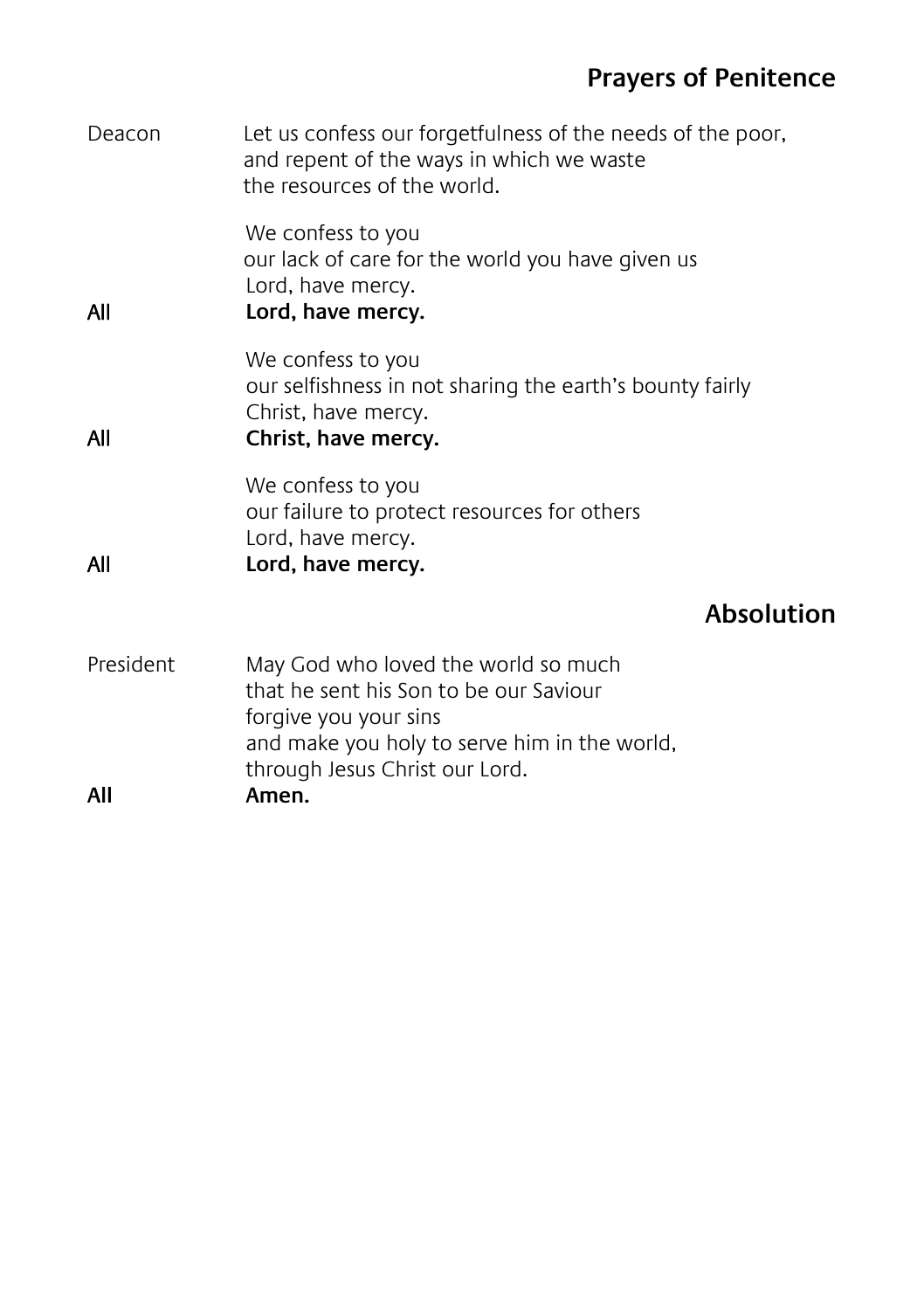## **Prayers of Penitence**

| Deacon    | Let us confess our forgetfulness of the needs of the poor,<br>and repent of the ways in which we waste<br>the resources of the world.                                                    |                   |
|-----------|------------------------------------------------------------------------------------------------------------------------------------------------------------------------------------------|-------------------|
| All       | We confess to you<br>our lack of care for the world you have given us<br>Lord, have mercy.<br>Lord, have mercy.                                                                          |                   |
| All       | We confess to you<br>our selfishness in not sharing the earth's bounty fairly<br>Christ, have mercy.<br>Christ, have mercy.                                                              |                   |
| All       | We confess to you<br>our failure to protect resources for others<br>Lord, have mercy.<br>Lord, have mercy.                                                                               |                   |
|           |                                                                                                                                                                                          | <b>Absolution</b> |
| President | May God who loved the world so much<br>that he sent his Son to be our Saviour<br>forgive you your sins<br>and make you holy to serve him in the world,<br>through Jesus Christ our Lord. |                   |
| All       | Amen.                                                                                                                                                                                    |                   |
|           |                                                                                                                                                                                          |                   |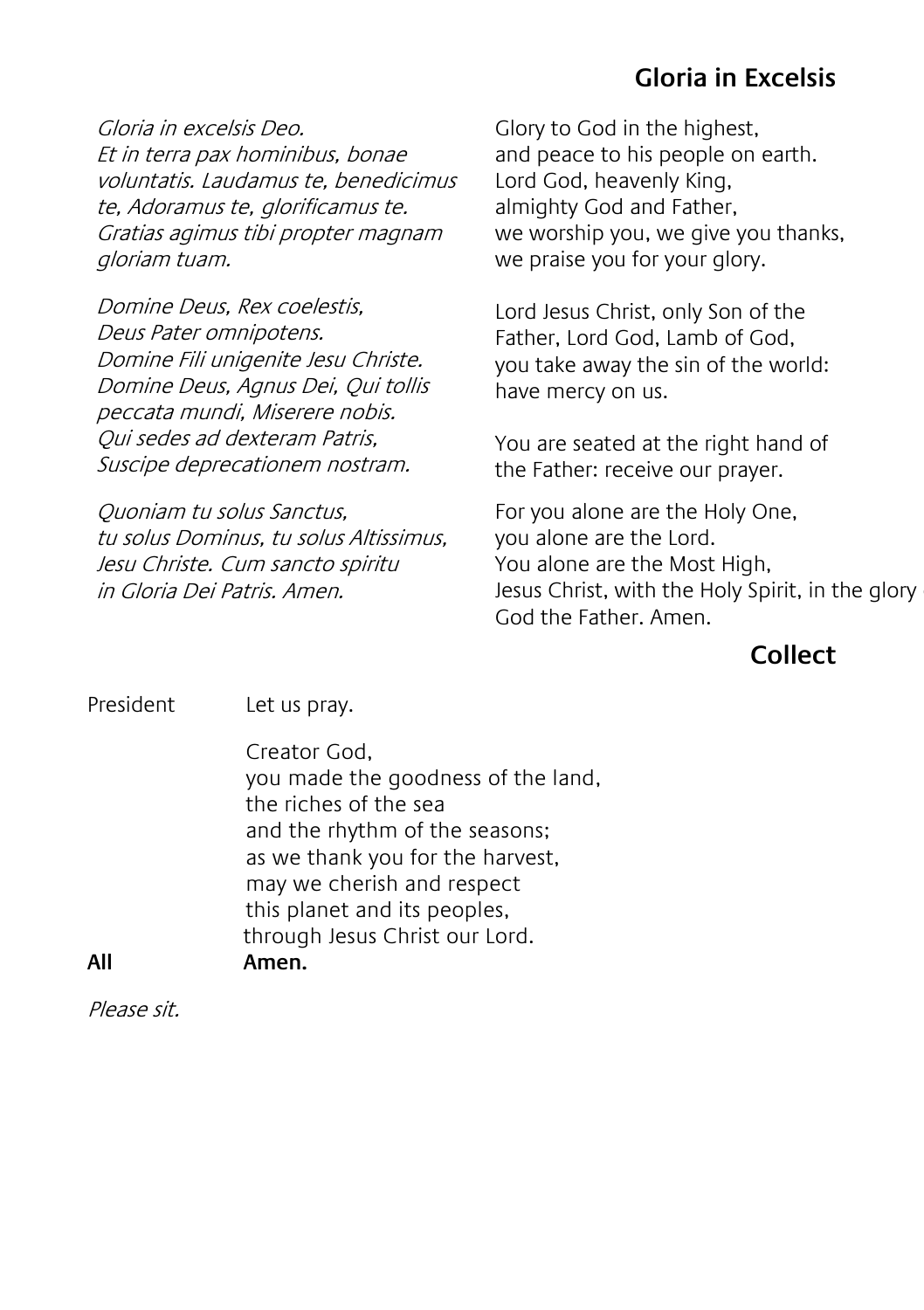#### **Gloria in Excelsis**

Gloria in excelsis Deo. Et in terra pax hominibus, bonae voluntatis. Laudamus te, benedicimus te, Adoramus te, glorificamus te. Gratias agimus tibi propter magnam gloriam tuam.

Domine Deus, Rex coelestis, Deus Pater omnipotens. Domine Fili unigenite Jesu Christe. Domine Deus, Agnus Dei, Qui tollis peccata mundi, Miserere nobis. Qui sedes ad dexteram Patris, Suscipe deprecationem nostram.

Quoniam tu solus Sanctus, tu solus Dominus, tu solus Altissimus, Jesu Christe. Cum sancto spiritu in Gloria Dei Patris. Amen.

Glory to God in the highest, and peace to his people on earth. Lord God, heavenly King, almighty God and Father, we worship you, we give you thanks, we praise you for your glory.

Lord Jesus Christ, only Son of the Father, Lord God, Lamb of God, you take away the sin of the world: have mercy on us.

You are seated at the right hand of the Father: receive our prayer.

For you alone are the Holy One, you alone are the Lord. You alone are the Most High, Jesus Christ, with the Holy Spirit, in the glory God the Father. Amen.

#### **Collect**

President Let us pray.

Creator God, you made the goodness of the land, the riches of the sea and the rhythm of the seasons; as we thank you for the harvest, may we cherish and respect this planet and its peoples, through Jesus Christ our Lord. **All Amen.**

Please sit.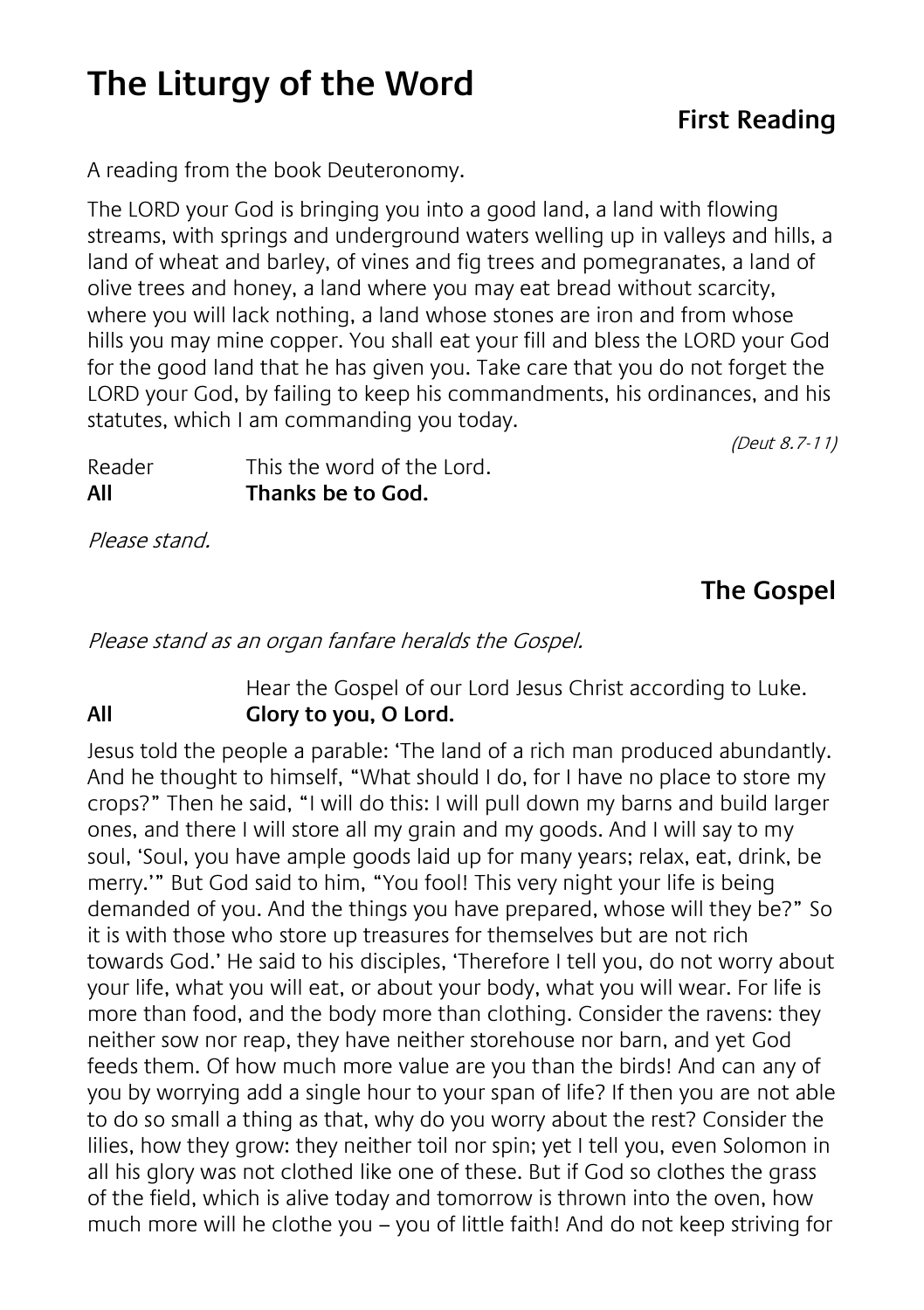## **The Liturgy of the Word**

### **First Reading**

A reading from the book Deuteronomy.

The LORD your God is bringing you into a good land, a land with flowing streams, with springs and underground waters welling up in valleys and hills, a land of wheat and barley, of vines and fig trees and pomegranates, a land of olive trees and honey, a land where you may eat bread without scarcity, where you will lack nothing, a land whose stones are iron and from whose hills you may mine copper. You shall eat your fill and bless the LORD your God for the good land that he has given you. Take care that you do not forget the LORD your God, by failing to keep his commandments, his ordinances, and his statutes, which I am commanding you today.

(Deut 8.7-11)

Reader This the word of the Lord. **All Thanks be to God.**

Please stand.

## **The Gospel**

Please stand as an organ fanfare heralds the Gospel.

#### Hear the Gospel of our Lord Jesus Christ according to Luke. **All Glory to you, O Lord.**

Jesus told the people a parable: 'The land of a rich man produced abundantly. And he thought to himself, "What should I do, for I have no place to store my crops?" Then he said, "I will do this: I will pull down my barns and build larger ones, and there I will store all my grain and my goods. And I will say to my soul, 'Soul, you have ample goods laid up for many years; relax, eat, drink, be merry.'" But God said to him, "You fool! This very night your life is being demanded of you. And the things you have prepared, whose will they be?" So it is with those who store up treasures for themselves but are not rich towards God.' He said to his disciples, 'Therefore I tell you, do not worry about your life, what you will eat, or about your body, what you will wear. For life is more than food, and the body more than clothing. Consider the ravens: they neither sow nor reap, they have neither storehouse nor barn, and yet God feeds them. Of how much more value are you than the birds! And can any of you by worrying add a single hour to your span of life? If then you are not able to do so small a thing as that, why do you worry about the rest? Consider the lilies, how they grow: they neither toil nor spin; yet I tell you, even Solomon in all his glory was not clothed like one of these. But if God so clothes the grass of the field, which is alive today and tomorrow is thrown into the oven, how much more will he clothe you – you of little faith! And do not keep striving for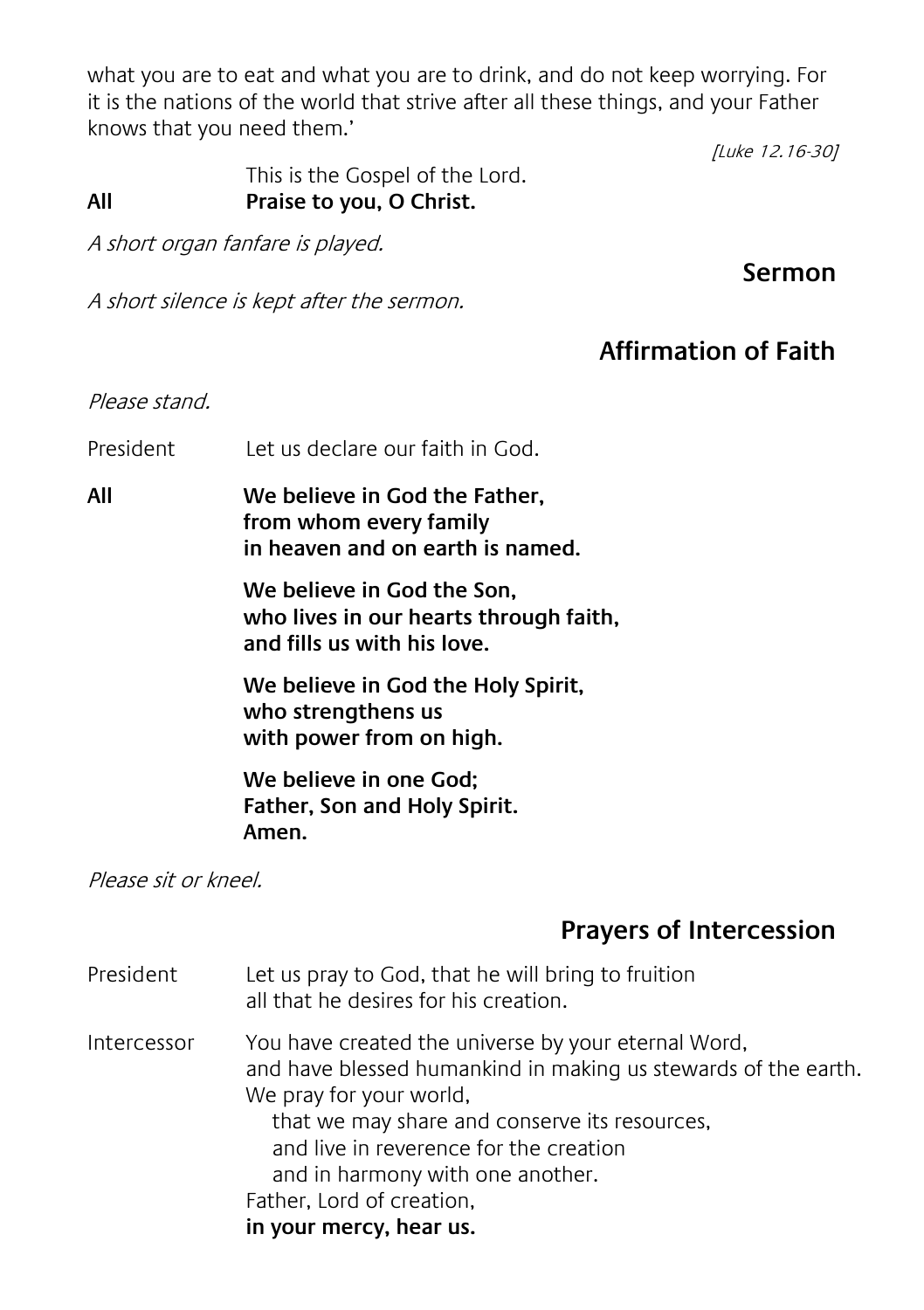what you are to eat and what you are to drink, and do not keep worrying. For it is the nations of the world that strive after all these things, and your Father knows that you need them.'

 This is the Gospel of the Lord. **All Praise to you, O Christ.**

A short organ fanfare is played.

**Sermon**

[Luke 12.16-30]

A short silence is kept after the sermon.

#### **Affirmation of Faith**

#### Please stand.

President Let us declare our faith in God.

**All We believe in God the Father, from whom every family in heaven and on earth is named.**

> **We believe in God the Son, who lives in our hearts through faith, and fills us with his love.**

**We believe in God the Holy Spirit, who strengthens us with power from on high.**

**We believe in one God; Father, Son and Holy Spirit. Amen.**

Please sit or kneel.

#### **Prayers of Intercession**

President Let us pray to God, that he will bring to fruition all that he desires for his creation. Intercessor You have created the universe by your eternal Word, and have blessed humankind in making us stewards of the earth. We pray for your world. that we may share and conserve its resources, and live in reverence for the creation and in harmony with one another. Father, Lord of creation, **in your mercy, hear us.**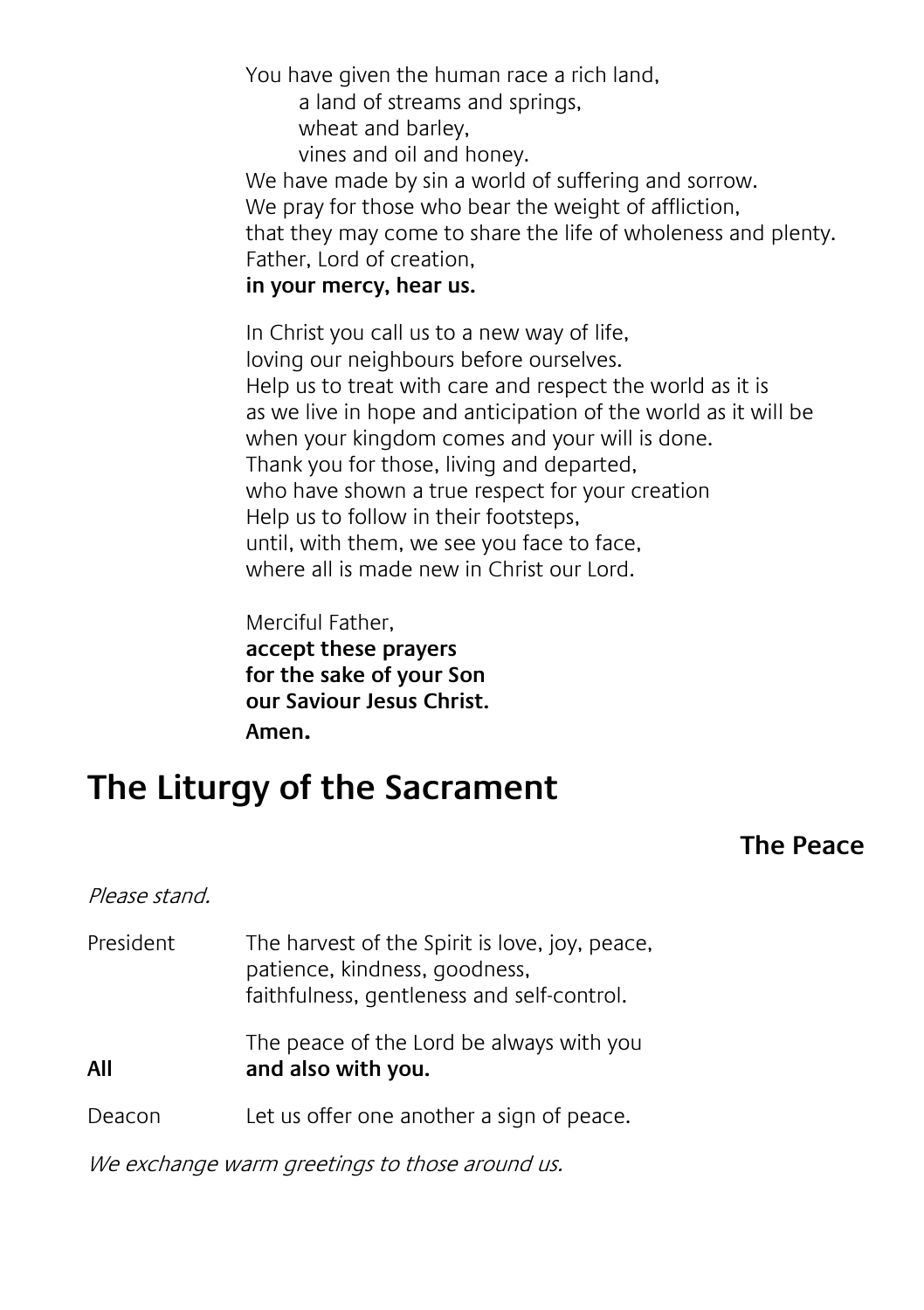You have given the human race a rich land,

a land of streams and springs,

wheat and barley,

vines and oil and honey.

We have made by sin a world of suffering and sorrow. We pray for those who bear the weight of affliction, that they may come to share the life of wholeness and plenty. Father, Lord of creation,

#### **in your mercy, hear us.**

In Christ you call us to a new way of life, loving our neighbours before ourselves. Help us to treat with care and respect the world as it is as we live in hope and anticipation of the world as it will be when your kingdom comes and your will is done. Thank you for those, living and departed, who have shown a true respect for your creation Help us to follow in their footsteps, until, with them, we see you face to face, where all is made new in Christ our Lord.

Merciful Father,

**accept these prayers for the sake of your Son our Saviour Jesus Christ. Amen.**

## **The Liturgy of the Sacrament**

#### **The Peace**

#### Please stand.

| President | The harvest of the Spirit is love, joy, peace,<br>patience, kindness, goodness,<br>faithfulness, gentleness and self-control. |
|-----------|-------------------------------------------------------------------------------------------------------------------------------|
| All       | The peace of the Lord be always with you<br>and also with you.                                                                |
| Deacon    | Let us offer one another a sign of peace.                                                                                     |

We exchange warm greetings to those around us.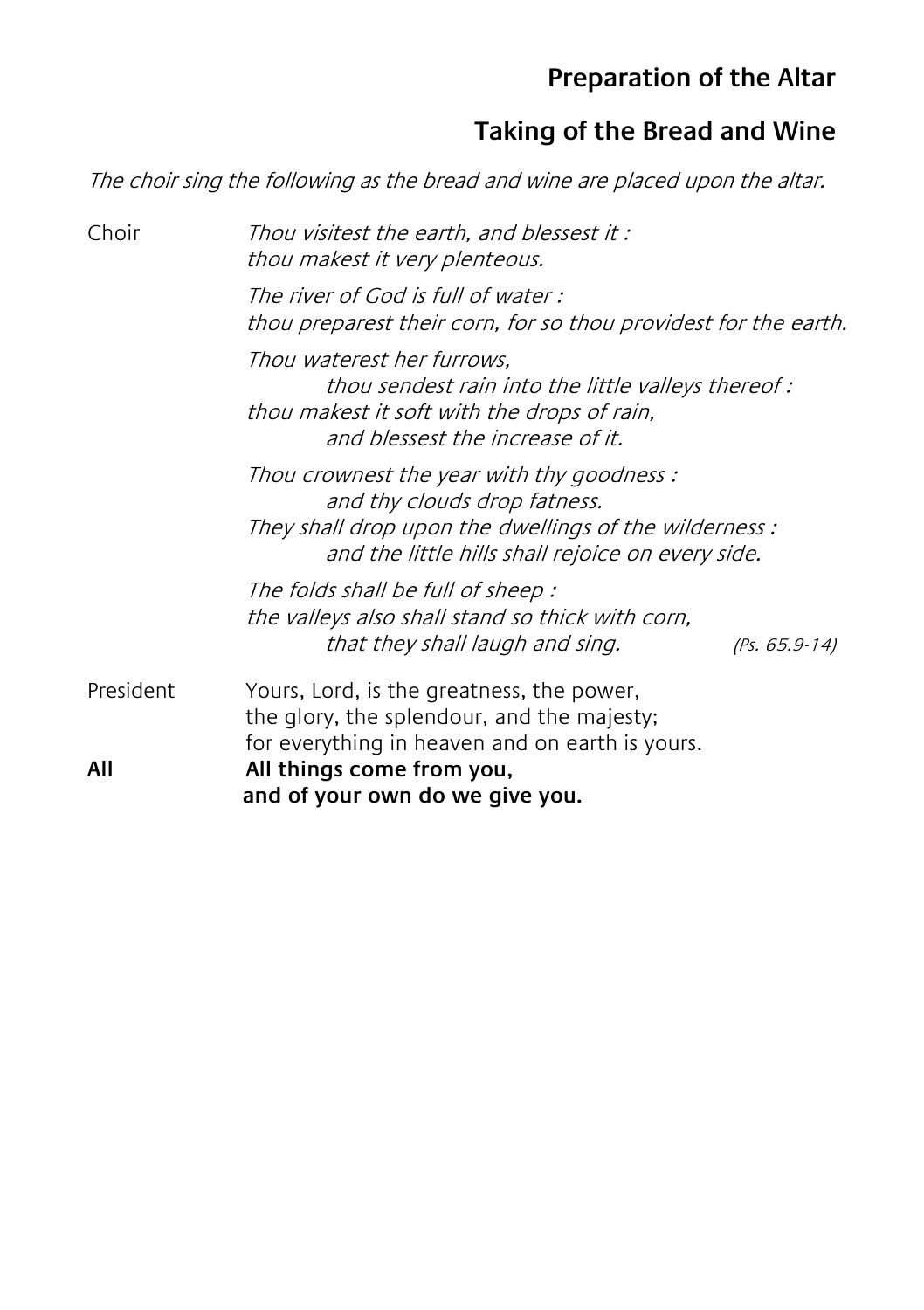## **Preparation of the Altar**

## **Taking of the Bread and Wine**

The choir sing the following as the bread and wine are placed upon the altar.

| Choir     | Thou visitest the earth, and blessest it :<br>thou makest it very plenteous.                                                                                                             |  |  |  |
|-----------|------------------------------------------------------------------------------------------------------------------------------------------------------------------------------------------|--|--|--|
|           | The river of God is full of water :<br>thou preparest their corn, for so thou providest for the earth.                                                                                   |  |  |  |
|           | Thou waterest her furrows.<br>thou sendest rain into the little valleys thereof :<br>thou makest it soft with the drops of rain,<br>and blessest the increase of it.                     |  |  |  |
|           | Thou crownest the year with thy goodness:<br>and thy clouds drop fatness.<br>They shall drop upon the dwellings of the wilderness :<br>and the little hills shall rejoice on every side. |  |  |  |
|           | The folds shall be full of sheep:<br>the valleys also shall stand so thick with corn,<br>that they shall laugh and sing.<br>$(PS. 65.9-14)$                                              |  |  |  |
| President | Yours, Lord, is the greatness, the power,<br>the glory, the splendour, and the majesty;<br>for everything in heaven and on earth is yours.                                               |  |  |  |
| All       | All things come from you,<br>and of your own do we give you.                                                                                                                             |  |  |  |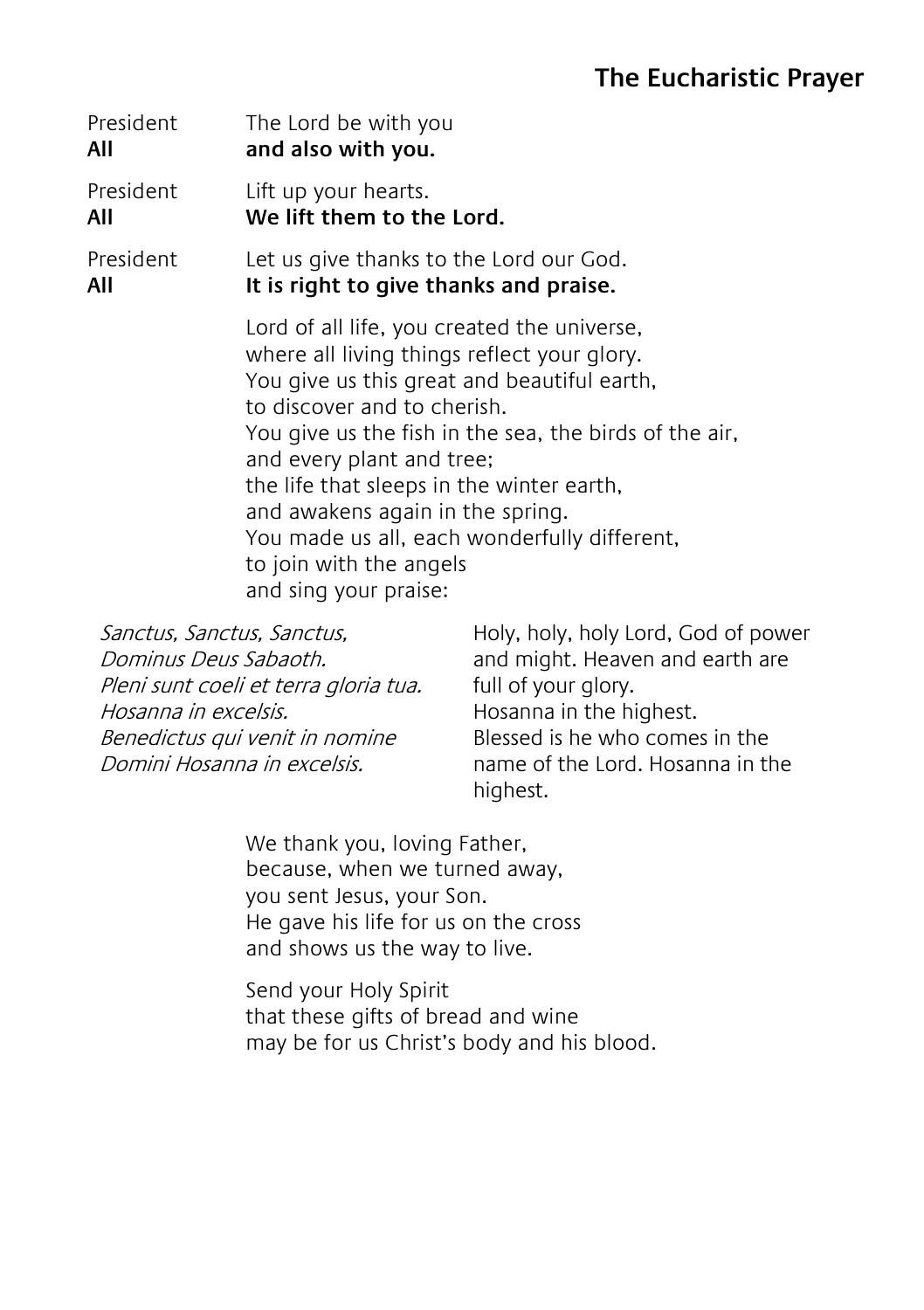#### **The Eucharistic Prayer**

| President | The Lord be with you                                                                                                                                                                                                                                                                                                                                                                                                                                 |  |  |
|-----------|------------------------------------------------------------------------------------------------------------------------------------------------------------------------------------------------------------------------------------------------------------------------------------------------------------------------------------------------------------------------------------------------------------------------------------------------------|--|--|
| All       | and also with you.                                                                                                                                                                                                                                                                                                                                                                                                                                   |  |  |
| President | Lift up your hearts.                                                                                                                                                                                                                                                                                                                                                                                                                                 |  |  |
| All       | We lift them to the Lord.                                                                                                                                                                                                                                                                                                                                                                                                                            |  |  |
| President | Let us give thanks to the Lord our God.                                                                                                                                                                                                                                                                                                                                                                                                              |  |  |
| All       | It is right to give thanks and praise.                                                                                                                                                                                                                                                                                                                                                                                                               |  |  |
|           | Lord of all life, you created the universe,<br>where all living things reflect your glory.<br>You give us this great and beautiful earth,<br>to discover and to cherish.<br>You give us the fish in the sea, the birds of the air,<br>and every plant and tree;<br>the life that sleeps in the winter earth,<br>and awakens again in the spring.<br>You made us all, each wonderfully different,<br>to join with the angels<br>and sing your praise: |  |  |

Sanctus, Sanctus, Sanctus, Dominus Deus Sabaoth. Pleni sunt coeli et terra gloria tua. Hosanna in excelsis. Benedictus qui venit in nomine Domini Hosanna in excelsis.

Holy, holy, holy Lord, God of power and might. Heaven and earth are full of your glory. Hosanna in the highest. Blessed is he who comes in the name of the Lord. Hosanna in the highest.

We thank you, loving Father, because, when we turned away, you sent Jesus, your Son. He gave his life for us on the cross and shows us the way to live.

Send your Holy Spirit that these gifts of bread and wine may be for us Christ's body and his blood.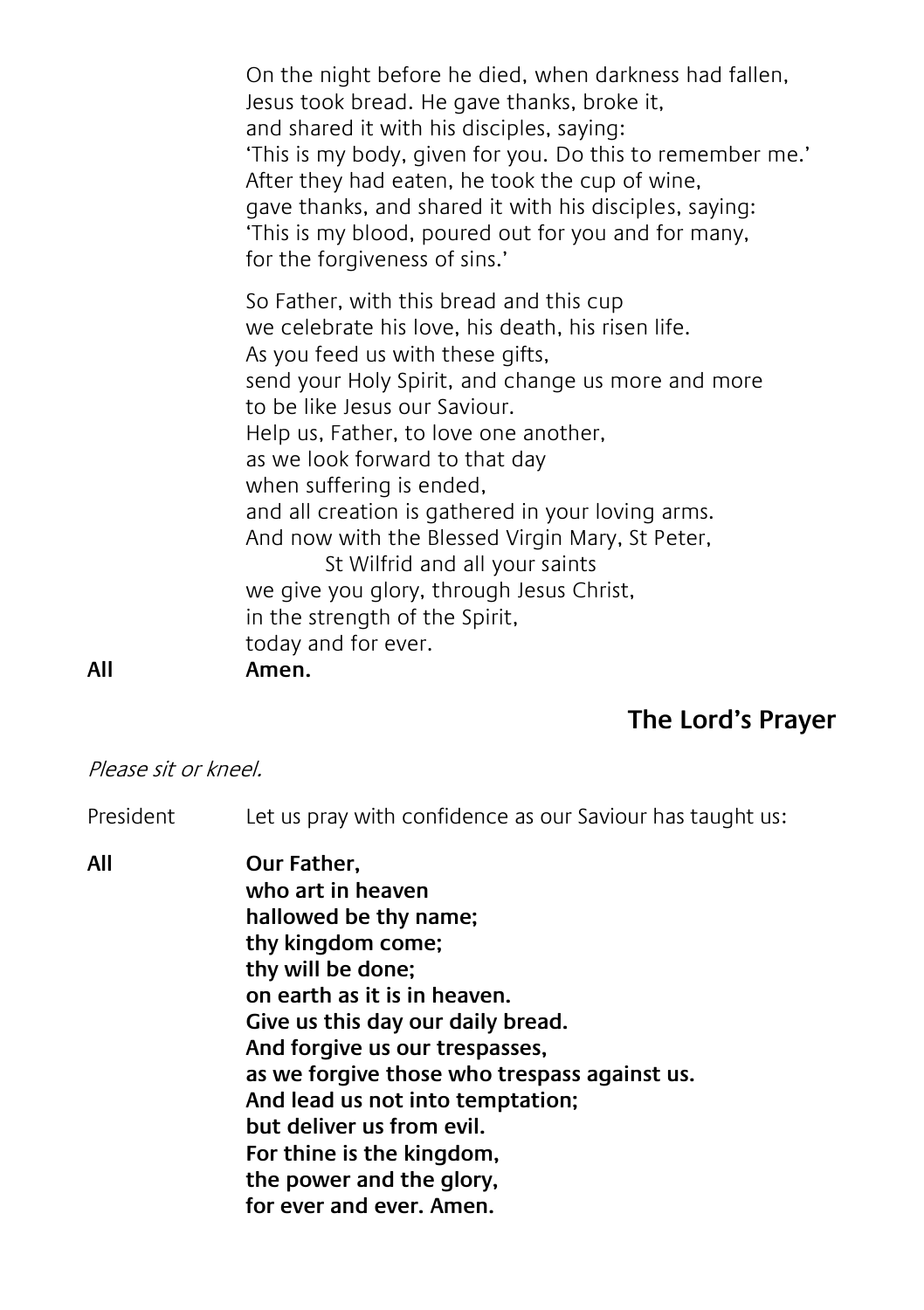On the night before he died, when darkness had fallen, Jesus took bread. He gave thanks, broke it, and shared it with his disciples, saying: 'This is my body, given for you. Do this to remember me.' After they had eaten, he took the cup of wine, gave thanks, and shared it with his disciples, saying: 'This is my blood, poured out for you and for many, for the forgiveness of sins.'

So Father, with this bread and this cup we celebrate his love, his death, his risen life. As you feed us with these gifts, send your Holy Spirit, and change us more and more to be like Jesus our Saviour. Help us, Father, to love one another, as we look forward to that day when suffering is ended, and all creation is gathered in your loving arms. And now with the Blessed Virgin Mary, St Peter, St Wilfrid and all your saints we give you glory, through Jesus Christ, in the strength of the Spirit, today and for ever.

#### **All Amen.**

#### **The Lord's Prayer**

#### Please sit or kneel.

President Let us pray with confidence as our Saviour has taught us:

**All Our Father, who art in heaven hallowed be thy name; thy kingdom come; thy will be done; on earth as it is in heaven. Give us this day our daily bread. And forgive us our trespasses, as we forgive those who trespass against us. And lead us not into temptation; but deliver us from evil. For thine is the kingdom, the power and the glory, for ever and ever. Amen.**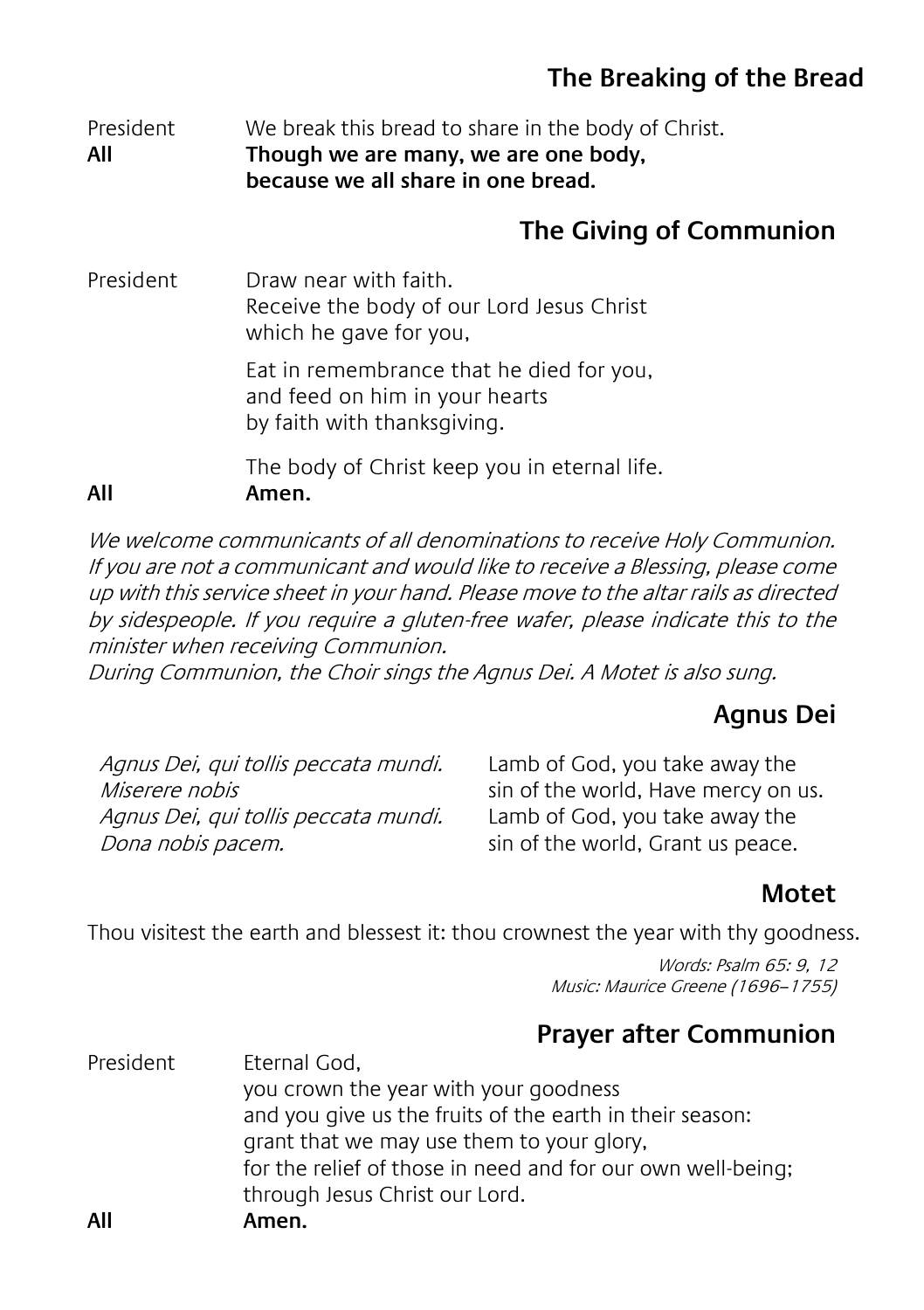## **The Breaking of the Bread**

#### President We break this bread to share in the body of Christ. **All Though we are many, we are one body, because we all share in one bread.**

## **The Giving of Communion**

President Draw near with faith. Receive the body of our Lord Jesus Christ which he gave for you, Eat in remembrance that he died for you, and feed on him in your hearts by faith with thanksgiving.

The body of Christ keep you in eternal life.

**All Amen.**

We welcome communicants of all denominations to receive Holy Communion. If you are not a communicant and would like to receive a Blessing, please come up with this service sheet in your hand. Please move to the altar rails as directed by sidespeople. If you require a gluten-free wafer, please indicate this to the minister when receiving Communion.

During Communion, the Choir sings the Agnus Dei. A Motet is also sung.

## **Agnus Dei**

Agnus Dei, qui tollis peccata mundi. Miserere nobis Agnus Dei, qui tollis peccata mundi. Dona nobis pacem.

Lamb of God, you take away the sin of the world, Have mercy on us. Lamb of God, you take away the sin of the world, Grant us peace.

## **Motet**

Thou visitest the earth and blessest it: thou crownest the year with thy goodness.

Words: Psalm 65: 9, 12 Music: Maurice Greene (1696–1755)

## **Prayer after Communion**

| All       | Amen.                                                       |
|-----------|-------------------------------------------------------------|
|           | through Jesus Christ our Lord.                              |
|           | for the relief of those in need and for our own well-being; |
|           | grant that we may use them to your glory,                   |
|           | and you give us the fruits of the earth in their season:    |
|           | you crown the year with your goodness                       |
| President | Eternal God,                                                |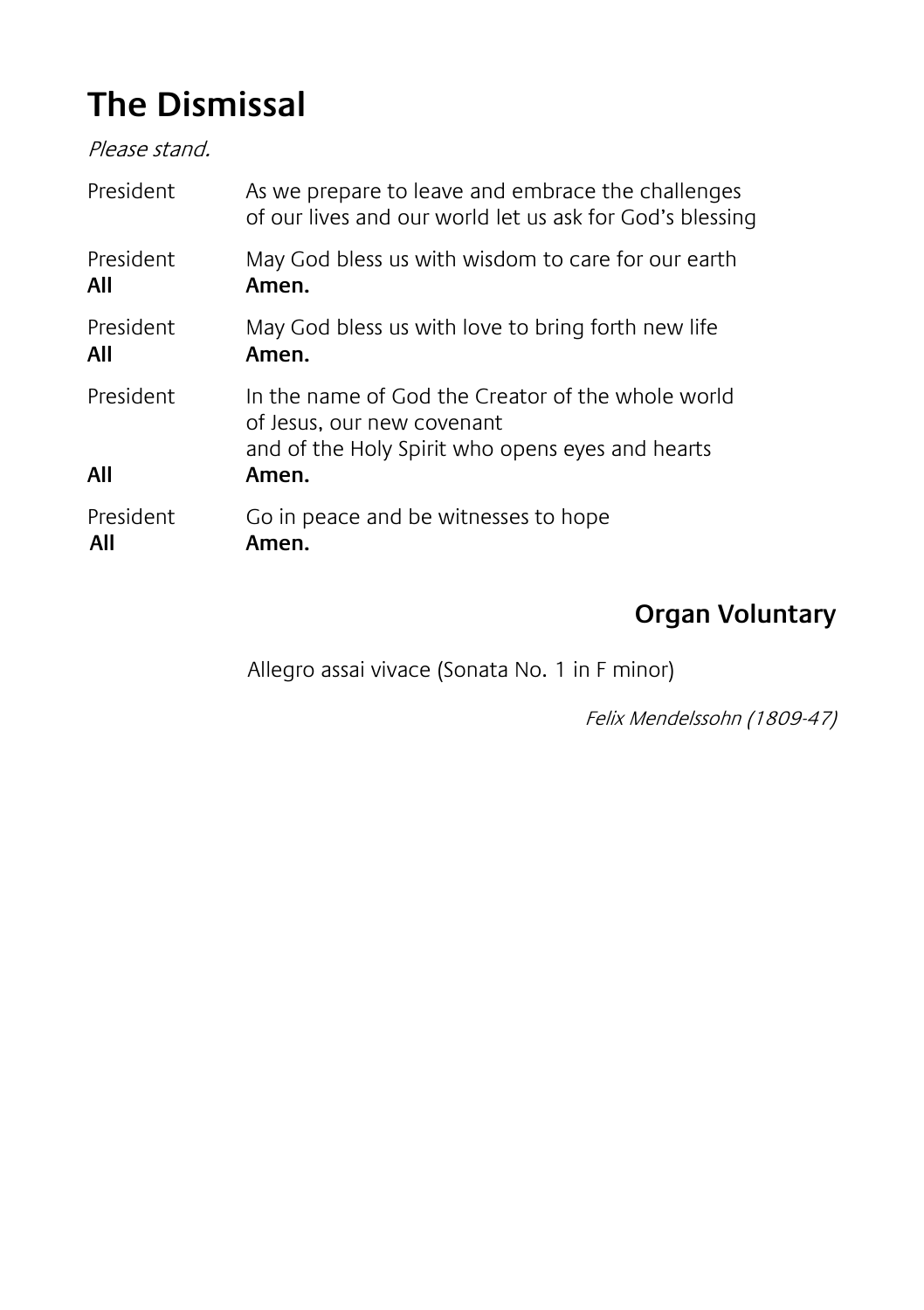## **The Dismissal**

Please stand.

| President        | As we prepare to leave and embrace the challenges<br>of our lives and our world let us ask for God's blessing                                |
|------------------|----------------------------------------------------------------------------------------------------------------------------------------------|
| President        | May God bless us with wisdom to care for our earth                                                                                           |
| All              | Amen.                                                                                                                                        |
| President        | May God bless us with love to bring forth new life                                                                                           |
| All              | Amen.                                                                                                                                        |
| President<br>All | In the name of God the Creator of the whole world<br>of Jesus, our new covenant<br>and of the Holy Spirit who opens eyes and hearts<br>Amen. |
| President        | Go in peace and be witnesses to hope                                                                                                         |
| All              | Amen.                                                                                                                                        |

## **Organ Voluntary**

Allegro assai vivace (Sonata No. 1 in F minor)

Felix Mendelssohn (1809-47)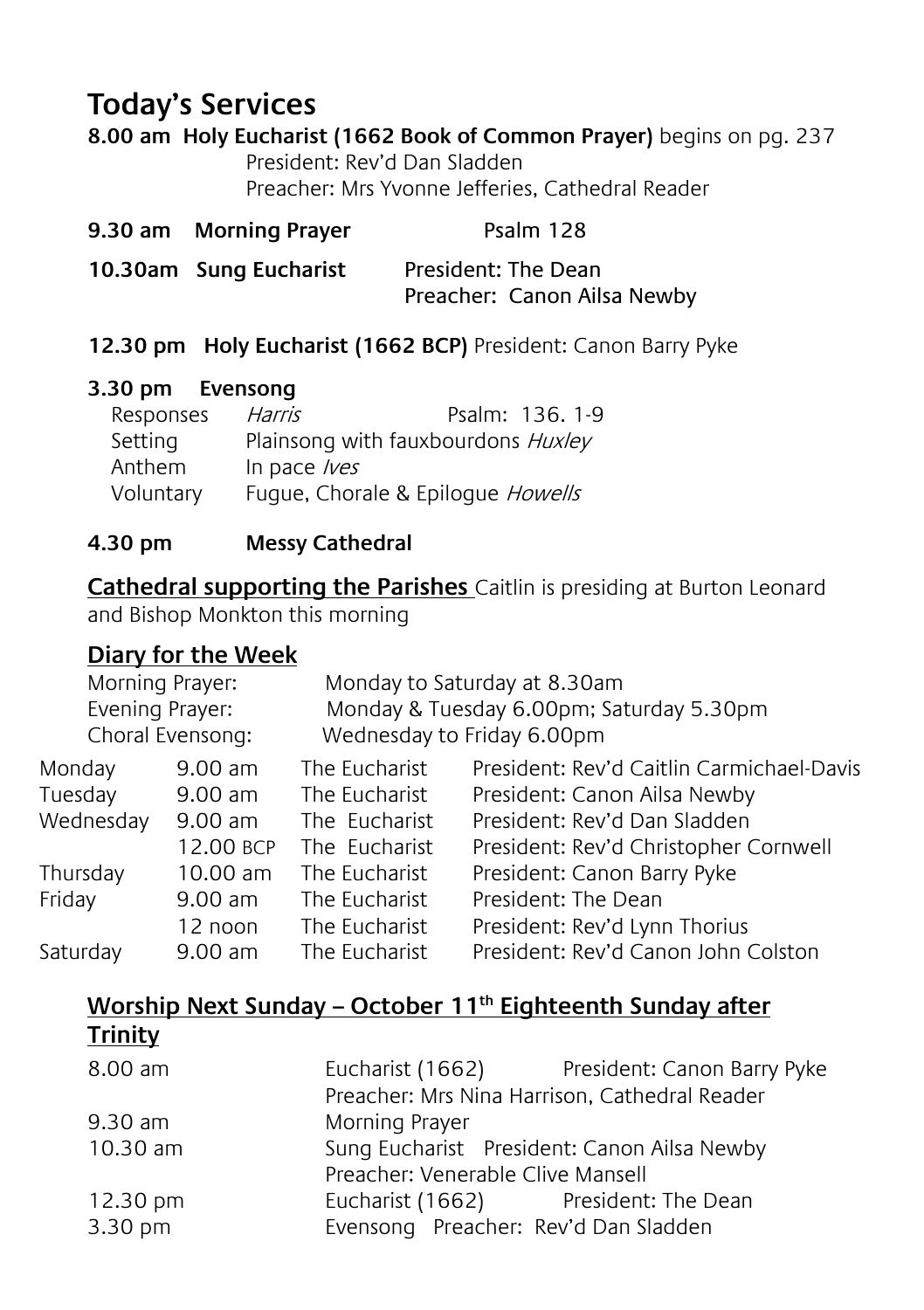## **Today's Services**

#### **8.00 am Holy Eucharist (1662 Book of Common Prayer)** begins on pg. 237

President: Rev'd Dan Sladden Preacher: Mrs Yvonne Jefferies, Cathedral Reader

| 9.30 am Morning Prayer | Psalm 128                                          |
|------------------------|----------------------------------------------------|
| 10.30am Sung Eucharist | President: The Dean<br>Preacher: Canon Ailsa Newby |

#### **12.30 pm Holy Eucharist (1662 BCP)** President: Canon Barry Pyke

#### **3.30 pm Evensong**

| Responses | Harris                             | Psalm: 136, 1-9 |
|-----------|------------------------------------|-----------------|
| Setting   | Plainsong with fauxbourdons Huxley |                 |
| Anthem    | In pace $lves$                     |                 |
| Voluntary | Fugue, Chorale & Epiloque Howells  |                 |
|           |                                    |                 |

#### **4.30 pm Messy Cathedral**

**Cathedral supporting the Parishes** Caitlin is presiding at Burton Leonard and Bishop Monkton this morning

#### **Diary for the Week**

|           | Morning Prayer:<br>Monday to Saturday at 8.30am<br>Evening Prayer:<br>Monday & Tuesday 6.00pm; Saturday 5.30pm<br>Choral Evensong:<br>Wednesday to Friday 6.00pm |               |                                           |
|-----------|------------------------------------------------------------------------------------------------------------------------------------------------------------------|---------------|-------------------------------------------|
| Monday    | $9.00$ am                                                                                                                                                        | The Eucharist | President: Rev'd Caitlin Carmichael-Davis |
| Tuesday   | $9.00$ am                                                                                                                                                        | The Eucharist | President: Canon Ailsa Newby              |
| Wednesday | $9.00$ am                                                                                                                                                        | The Eucharist | President: Rev'd Dan Sladden              |
|           | 12.00 BCP                                                                                                                                                        | The Eucharist | President: Rev'd Christopher Cornwell     |
| Thursday  | $10.00$ am                                                                                                                                                       | The Eucharist | President: Canon Barry Pyke               |
| Friday    | $9.00$ am                                                                                                                                                        | The Eucharist | President: The Dean                       |
|           | 12 noon                                                                                                                                                          | The Eucharist | President: Rev'd Lynn Thorius             |
| Saturday  | $9.00$ am                                                                                                                                                        | The Eucharist | President: Rev'd Canon John Colston       |
|           |                                                                                                                                                                  |               |                                           |

#### **Worship Next Sunday – October 11th Eighteenth Sunday after Trinity**

| Morning Prayer                              |  |                                                                                                                                                                                                                    |
|---------------------------------------------|--|--------------------------------------------------------------------------------------------------------------------------------------------------------------------------------------------------------------------|
| Sung Eucharist President: Canon Ailsa Newby |  |                                                                                                                                                                                                                    |
|                                             |  |                                                                                                                                                                                                                    |
|                                             |  |                                                                                                                                                                                                                    |
|                                             |  |                                                                                                                                                                                                                    |
|                                             |  | Eucharist (1662) President: Canon Barry Pyke<br>Preacher: Mrs Nina Harrison, Cathedral Reader<br>Preacher: Venerable Clive Mansell<br>Eucharist (1662) President: The Dean<br>Evensong Preacher: Rev'd Dan Sladden |